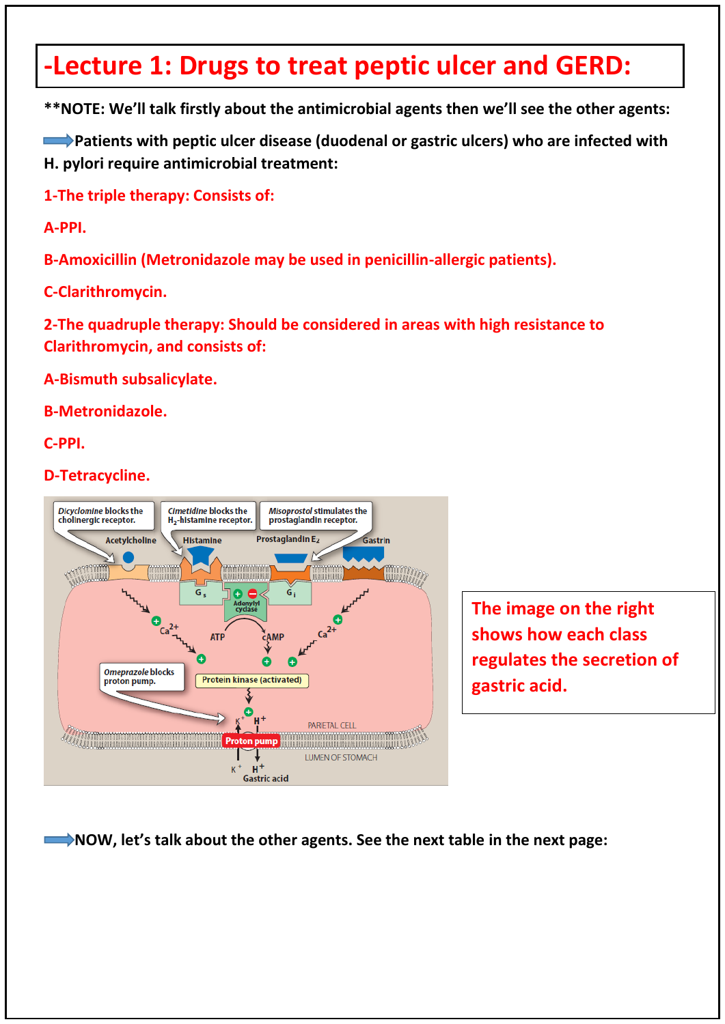## **-Lecture 1: Drugs to treat peptic ulcer and GERD:**

**\*\*NOTE: We'll talk firstly about the antimicrobial agents then we'll see the other agents:** 

**EXTERNAL Propertional Patients with peptic ulcer disease (duodenal or gastric ulcers) who are infected with H. pylori require antimicrobial treatment:**

**1-The triple therapy: Consists of:**

**A-PPI.** 

**B-Amoxicillin (Metronidazole may be used in penicillin-allergic patients).**

**C-Clarithromycin.**

**2-The quadruple therapy: Should be considered in areas with high resistance to Clarithromycin, and consists of:**

**A-Bismuth subsalicylate.**

**B-Metronidazole.**

**C-PPI.**

**D-Tetracycline.**



**The image on the right shows how each class regulates the secretion of gastric acid.**

 **NOW, let's talk about the other agents. See the next table in the next page:**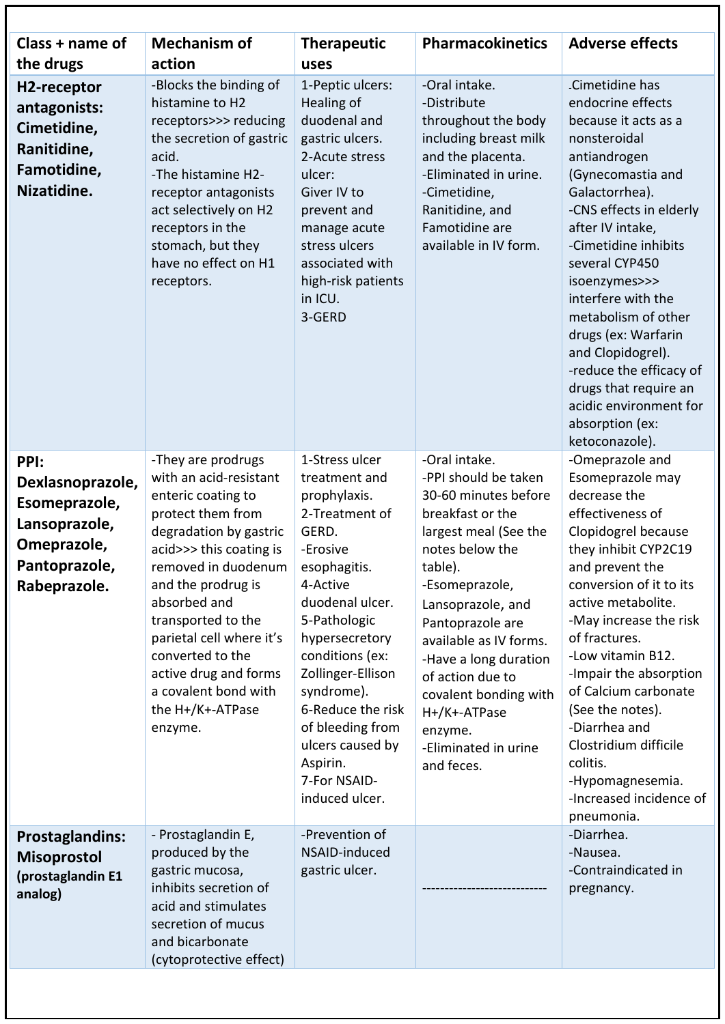| Class + name of                                                                                            | <b>Mechanism of</b>                                                                                                                                                                                                                                                                                                                                             | <b>Therapeutic</b>                                                                                                                                                                                                                                                                                                                       | <b>Pharmacokinetics</b>                                                                                                                                                                                                                                                                                                                                              | <b>Adverse effects</b>                                                                                                                                                                                                                                                                                                                                                                                                                                   |
|------------------------------------------------------------------------------------------------------------|-----------------------------------------------------------------------------------------------------------------------------------------------------------------------------------------------------------------------------------------------------------------------------------------------------------------------------------------------------------------|------------------------------------------------------------------------------------------------------------------------------------------------------------------------------------------------------------------------------------------------------------------------------------------------------------------------------------------|----------------------------------------------------------------------------------------------------------------------------------------------------------------------------------------------------------------------------------------------------------------------------------------------------------------------------------------------------------------------|----------------------------------------------------------------------------------------------------------------------------------------------------------------------------------------------------------------------------------------------------------------------------------------------------------------------------------------------------------------------------------------------------------------------------------------------------------|
| the drugs                                                                                                  | action                                                                                                                                                                                                                                                                                                                                                          | uses                                                                                                                                                                                                                                                                                                                                     |                                                                                                                                                                                                                                                                                                                                                                      |                                                                                                                                                                                                                                                                                                                                                                                                                                                          |
| H2-receptor<br>antagonists:<br>Cimetidine,<br>Ranitidine,<br>Famotidine,<br>Nizatidine.                    | -Blocks the binding of<br>histamine to H2<br>receptors>>> reducing<br>the secretion of gastric<br>acid.<br>-The histamine H2-<br>receptor antagonists<br>act selectively on H2<br>receptors in the<br>stomach, but they<br>have no effect on H1<br>receptors.                                                                                                   | 1-Peptic ulcers:<br>Healing of<br>duodenal and<br>gastric ulcers.<br>2-Acute stress<br>ulcer:<br>Giver IV to<br>prevent and<br>manage acute<br>stress ulcers<br>associated with<br>high-risk patients<br>in ICU.<br>3-GERD                                                                                                               | -Oral intake.<br>-Distribute<br>throughout the body<br>including breast milk<br>and the placenta.<br>-Eliminated in urine.<br>-Cimetidine,<br>Ranitidine, and<br>Famotidine are<br>available in IV form.                                                                                                                                                             | Cimetidine has<br>endocrine effects<br>because it acts as a<br>nonsteroidal<br>antiandrogen<br>(Gynecomastia and<br>Galactorrhea).<br>-CNS effects in elderly<br>after IV intake,<br>-Cimetidine inhibits<br>several CYP450<br>isoenzymes>>><br>interfere with the<br>metabolism of other<br>drugs (ex: Warfarin<br>and Clopidogrel).<br>-reduce the efficacy of<br>drugs that require an<br>acidic environment for<br>absorption (ex:<br>ketoconazole). |
| PPI:<br>Dexlasnoprazole,<br>Esomeprazole,<br>Lansoprazole,<br>Omeprazole,<br>Pantoprazole,<br>Rabeprazole. | -They are prodrugs<br>with an acid-resistant<br>enteric coating to<br>protect them from<br>degradation by gastric<br>acid>>> this coating is<br>removed in duodenum<br>and the prodrug is<br>absorbed and<br>transported to the<br>parietal cell where it's<br>converted to the<br>active drug and forms<br>a covalent bond with<br>the H+/K+-ATPase<br>enzyme. | 1-Stress ulcer<br>treatment and<br>prophylaxis.<br>2-Treatment of<br>GERD.<br>-Erosive<br>esophagitis.<br>4-Active<br>duodenal ulcer.<br>5-Pathologic<br>hypersecretory<br>conditions (ex:<br>Zollinger-Ellison<br>syndrome).<br>6-Reduce the risk<br>of bleeding from<br>ulcers caused by<br>Aspirin.<br>7-For NSAID-<br>induced ulcer. | -Oral intake.<br>-PPI should be taken<br>30-60 minutes before<br>breakfast or the<br>largest meal (See the<br>notes below the<br>table).<br>-Esomeprazole,<br>Lansoprazole, and<br>Pantoprazole are<br>available as IV forms.<br>-Have a long duration<br>of action due to<br>covalent bonding with<br>H+/K+-ATPase<br>enzyme.<br>-Eliminated in urine<br>and feces. | -Omeprazole and<br>Esomeprazole may<br>decrease the<br>effectiveness of<br>Clopidogrel because<br>they inhibit CYP2C19<br>and prevent the<br>conversion of it to its<br>active metabolite.<br>-May increase the risk<br>of fractures.<br>-Low vitamin B12.<br>-Impair the absorption<br>of Calcium carbonate<br>(See the notes).<br>-Diarrhea and<br>Clostridium difficile<br>colitis.<br>-Hypomagnesemia.<br>-Increased incidence of<br>pneumonia.      |
| <b>Prostaglandins:</b><br><b>Misoprostol</b><br>(prostaglandin E1<br>analog)                               | - Prostaglandin E,<br>produced by the<br>gastric mucosa,<br>inhibits secretion of<br>acid and stimulates<br>secretion of mucus<br>and bicarbonate<br>(cytoprotective effect)                                                                                                                                                                                    | -Prevention of<br>NSAID-induced<br>gastric ulcer.                                                                                                                                                                                                                                                                                        |                                                                                                                                                                                                                                                                                                                                                                      | -Diarrhea.<br>-Nausea.<br>-Contraindicated in<br>pregnancy.                                                                                                                                                                                                                                                                                                                                                                                              |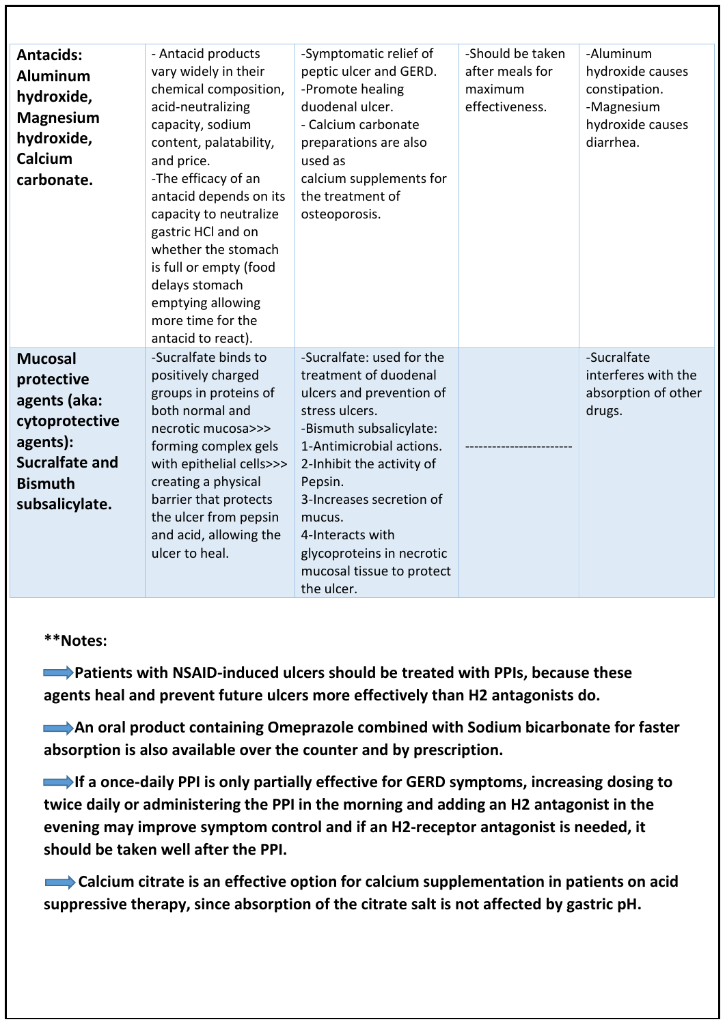| <b>Antacids:</b><br><b>Aluminum</b><br>hydroxide,<br><b>Magnesium</b><br>hydroxide,<br>Calcium<br>carbonate.                            | - Antacid products<br>vary widely in their<br>chemical composition,<br>acid-neutralizing<br>capacity, sodium<br>content, palatability,<br>and price.<br>-The efficacy of an<br>antacid depends on its<br>capacity to neutralize<br>gastric HCl and on<br>whether the stomach<br>is full or empty (food<br>delays stomach<br>emptying allowing<br>more time for the<br>antacid to react). | -Symptomatic relief of<br>peptic ulcer and GERD.<br>-Promote healing<br>duodenal ulcer.<br>- Calcium carbonate<br>preparations are also<br>used as<br>calcium supplements for<br>the treatment of<br>osteoporosis.                                                                                                                | -Should be taken<br>after meals for<br>maximum<br>effectiveness. | -Aluminum<br>hydroxide causes<br>constipation.<br>-Magnesium<br>hydroxide causes<br>diarrhea. |
|-----------------------------------------------------------------------------------------------------------------------------------------|------------------------------------------------------------------------------------------------------------------------------------------------------------------------------------------------------------------------------------------------------------------------------------------------------------------------------------------------------------------------------------------|-----------------------------------------------------------------------------------------------------------------------------------------------------------------------------------------------------------------------------------------------------------------------------------------------------------------------------------|------------------------------------------------------------------|-----------------------------------------------------------------------------------------------|
| <b>Mucosal</b><br>protective<br>agents (aka:<br>cytoprotective<br>agents):<br><b>Sucralfate and</b><br><b>Bismuth</b><br>subsalicylate. | -Sucralfate binds to<br>positively charged<br>groups in proteins of<br>both normal and<br>necrotic mucosa>>><br>forming complex gels<br>with epithelial cells>>><br>creating a physical<br>barrier that protects<br>the ulcer from pepsin<br>and acid, allowing the<br>ulcer to heal.                                                                                                    | -Sucralfate: used for the<br>treatment of duodenal<br>ulcers and prevention of<br>stress ulcers.<br>-Bismuth subsalicylate:<br>1-Antimicrobial actions.<br>2-Inhibit the activity of<br>Pepsin.<br>3-Increases secretion of<br>mucus.<br>4-Interacts with<br>glycoproteins in necrotic<br>mucosal tissue to protect<br>the ulcer. |                                                                  | -Sucralfate<br>interferes with the<br>absorption of other<br>drugs.                           |

#### **\*\*Notes:**

 **Patients with NSAID-induced ulcers should be treated with PPIs, because these agents heal and prevent future ulcers more effectively than H2 antagonists do.**

**An oral product containing Omeprazole combined with Sodium bicarbonate for faster absorption is also available over the counter and by prescription.**

**If a once-daily PPI is only partially effective for GERD symptoms, increasing dosing to twice daily or administering the PPI in the morning and adding an H2 antagonist in the evening may improve symptom control and if an H2-receptor antagonist is needed, it should be taken well after the PPI.**

 **Calcium citrate is an effective option for calcium supplementation in patients on acid suppressive therapy, since absorption of the citrate salt is not affected by gastric pH.**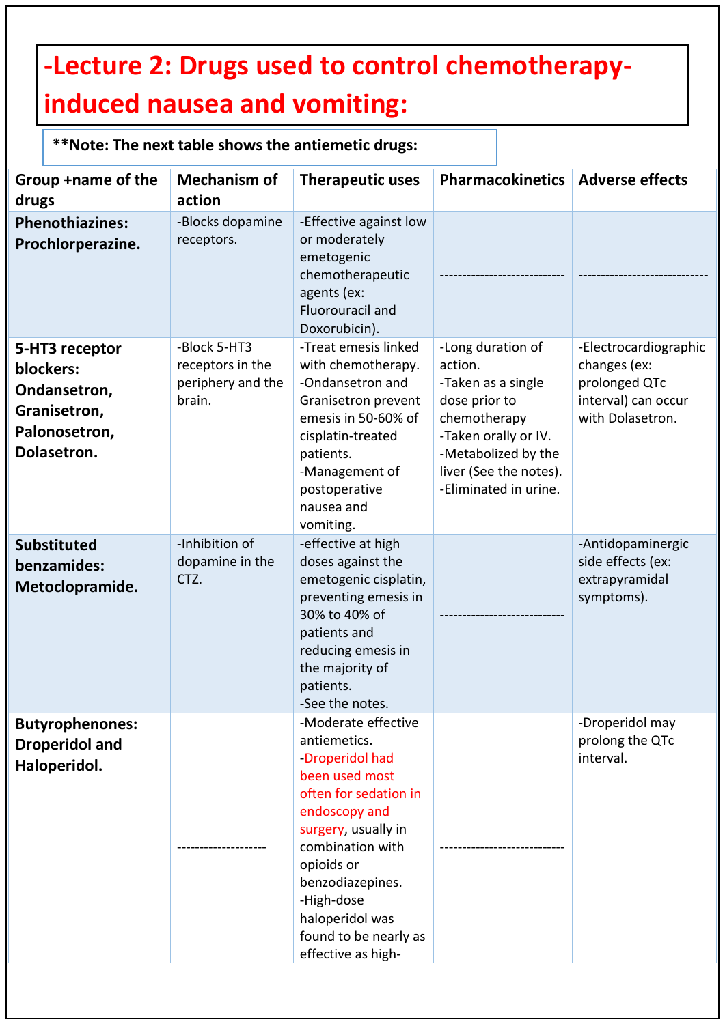# **-Lecture 2: Drugs used to control chemotherapyinduced nausea and vomiting:**

### **\*\*Note: The next table shows the antiemetic drugs:**

| Group +name of the<br>drugs                                                                 | <b>Mechanism of</b><br>action                                   | <b>Therapeutic uses</b>                                                                                                                                                                                                                                                         | <b>Pharmacokinetics</b>                                                                                                                                                               | <b>Adverse effects</b>                                                                            |
|---------------------------------------------------------------------------------------------|-----------------------------------------------------------------|---------------------------------------------------------------------------------------------------------------------------------------------------------------------------------------------------------------------------------------------------------------------------------|---------------------------------------------------------------------------------------------------------------------------------------------------------------------------------------|---------------------------------------------------------------------------------------------------|
| <b>Phenothiazines:</b><br>Prochlorperazine.                                                 | -Blocks dopamine<br>receptors.                                  | -Effective against low<br>or moderately<br>emetogenic<br>chemotherapeutic<br>agents (ex:<br>Fluorouracil and<br>Doxorubicin).                                                                                                                                                   |                                                                                                                                                                                       |                                                                                                   |
| 5-HT3 receptor<br>blockers:<br>Ondansetron,<br>Granisetron,<br>Palonosetron,<br>Dolasetron. | -Block 5-HT3<br>receptors in the<br>periphery and the<br>brain. | -Treat emesis linked<br>with chemotherapy.<br>-Ondansetron and<br>Granisetron prevent<br>emesis in 50-60% of<br>cisplatin-treated<br>patients.<br>-Management of<br>postoperative<br>nausea and<br>vomiting.                                                                    | -Long duration of<br>action.<br>-Taken as a single<br>dose prior to<br>chemotherapy<br>-Taken orally or IV.<br>-Metabolized by the<br>liver (See the notes).<br>-Eliminated in urine. | -Electrocardiographic<br>changes (ex:<br>prolonged QTc<br>interval) can occur<br>with Dolasetron. |
| <b>Substituted</b><br>benzamides:<br>Metoclopramide.                                        | -Inhibition of<br>dopamine in the<br>CTZ.                       | -effective at high<br>doses against the<br>emetogenic cisplatin,<br>preventing emesis in<br>30% to 40% of<br>patients and<br>reducing emesis in<br>the majority of<br>patients.<br>-See the notes.                                                                              |                                                                                                                                                                                       | -Antidopaminergic<br>side effects (ex:<br>extrapyramidal<br>symptoms).                            |
| <b>Butyrophenones:</b><br><b>Droperidol and</b><br>Haloperidol.                             |                                                                 | -Moderate effective<br>antiemetics.<br>-Droperidol had<br>been used most<br>often for sedation in<br>endoscopy and<br>surgery, usually in<br>combination with<br>opioids or<br>benzodiazepines.<br>-High-dose<br>haloperidol was<br>found to be nearly as<br>effective as high- |                                                                                                                                                                                       | -Droperidol may<br>prolong the QTc<br>interval.                                                   |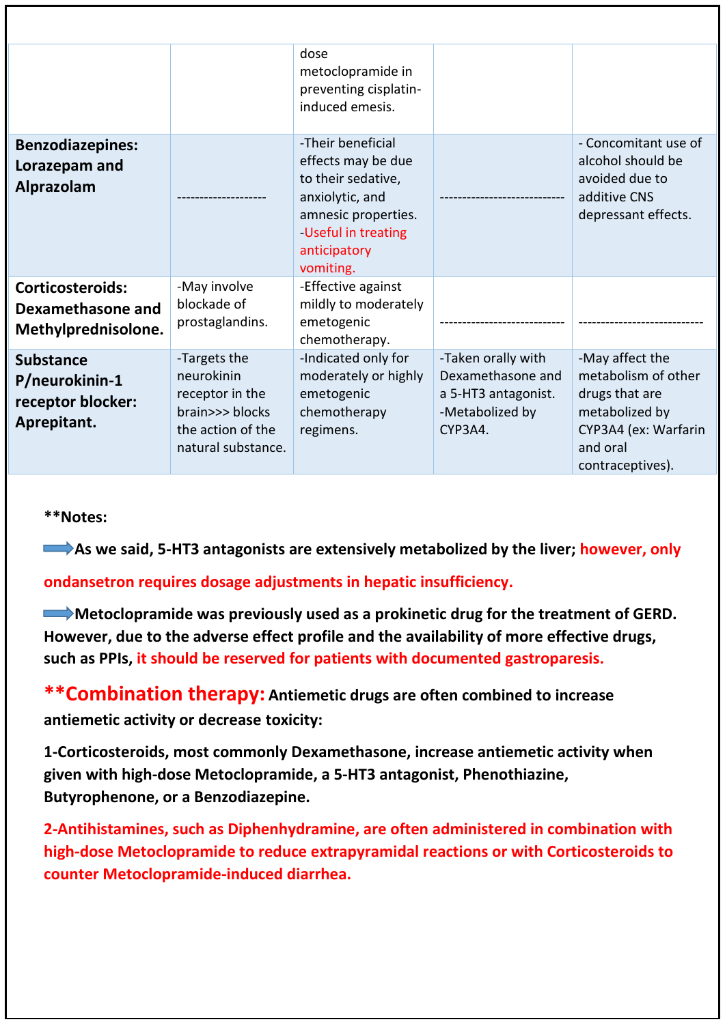|                                                                        |                                                                                                             | dose<br>metoclopramide in<br>preventing cisplatin-<br>induced emesis.                                                                                      |                                                                                              |                                                                                                                                    |
|------------------------------------------------------------------------|-------------------------------------------------------------------------------------------------------------|------------------------------------------------------------------------------------------------------------------------------------------------------------|----------------------------------------------------------------------------------------------|------------------------------------------------------------------------------------------------------------------------------------|
| <b>Benzodiazepines:</b><br>Lorazepam and<br><b>Alprazolam</b>          |                                                                                                             | -Their beneficial<br>effects may be due<br>to their sedative,<br>anxiolytic, and<br>amnesic properties.<br>Useful in treating<br>anticipatory<br>vomiting. |                                                                                              | - Concomitant use of<br>alcohol should be<br>avoided due to<br>additive CNS<br>depressant effects.                                 |
| <b>Corticosteroids:</b><br>Dexamethasone and<br>Methylprednisolone.    | -May involve<br>blockade of<br>prostaglandins.                                                              | -Effective against<br>mildly to moderately<br>emetogenic<br>chemotherapy.                                                                                  |                                                                                              |                                                                                                                                    |
| <b>Substance</b><br>P/neurokinin-1<br>receptor blocker:<br>Aprepitant. | -Targets the<br>neurokinin<br>receptor in the<br>brain>>> blocks<br>the action of the<br>natural substance. | -Indicated only for<br>moderately or highly<br>emetogenic<br>chemotherapy<br>regimens.                                                                     | -Taken orally with<br>Dexamethasone and<br>a 5-HT3 antagonist.<br>-Metabolized by<br>CYP3A4. | -May affect the<br>metabolism of other<br>drugs that are<br>metabolized by<br>CYP3A4 (ex: Warfarin<br>and oral<br>contraceptives). |

**\*\*Notes:** 

**As we said, 5-HT3 antagonists are extensively metabolized by the liver; however, only** 

**ondansetron requires dosage adjustments in hepatic insufficiency.**

**Metoclopramide was previously used as a prokinetic drug for the treatment of GERD. However, due to the adverse effect profile and the availability of more effective drugs, such as PPIs, it should be reserved for patients with documented gastroparesis.**

**\*\*Combination therapy: Antiemetic drugs are often combined to increase antiemetic activity or decrease toxicity:**

**1-Corticosteroids, most commonly Dexamethasone, increase antiemetic activity when given with high-dose Metoclopramide, a 5-HT3 antagonist, Phenothiazine, Butyrophenone, or a Benzodiazepine.**

**2-Antihistamines, such as Diphenhydramine, are often administered in combination with high-dose Metoclopramide to reduce extrapyramidal reactions or with Corticosteroids to counter Metoclopramide-induced diarrhea.**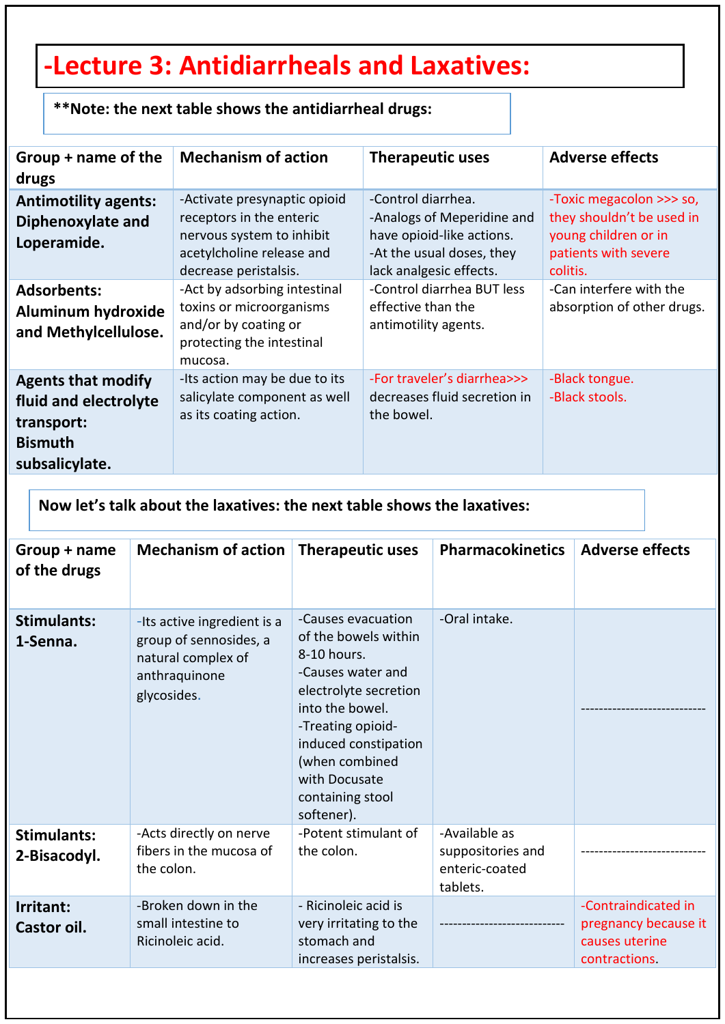# **-Lecture 3: Antidiarrheals and Laxatives:**

|  |  | **Note: the next table shows the antidiarrheal drugs: |  |
|--|--|-------------------------------------------------------|--|
|--|--|-------------------------------------------------------|--|

| Group + name of the<br>drugs                                                                         | <b>Mechanism of action</b>                                                                                                                  | <b>Therapeutic uses</b>                                                                                                               | <b>Adverse effects</b>                                                                                            |
|------------------------------------------------------------------------------------------------------|---------------------------------------------------------------------------------------------------------------------------------------------|---------------------------------------------------------------------------------------------------------------------------------------|-------------------------------------------------------------------------------------------------------------------|
| <b>Antimotility agents:</b><br>Diphenoxylate and<br>Loperamide.                                      | -Activate presynaptic opioid<br>receptors in the enteric<br>nervous system to inhibit<br>acetylcholine release and<br>decrease peristalsis. | -Control diarrhea.<br>-Analogs of Meperidine and<br>have opioid-like actions.<br>-At the usual doses, they<br>lack analgesic effects. | -Toxic megacolon >>> so,<br>they shouldn't be used in<br>young children or in<br>patients with severe<br>colitis. |
| <b>Adsorbents:</b><br><b>Aluminum hydroxide</b><br>and Methylcellulose.                              | -Act by adsorbing intestinal<br>toxins or microorganisms<br>and/or by coating or<br>protecting the intestinal<br>mucosa.                    | -Control diarrhea BUT less<br>effective than the<br>antimotility agents.                                                              | -Can interfere with the<br>absorption of other drugs.                                                             |
| <b>Agents that modify</b><br>fluid and electrolyte<br>transport:<br><b>Bismuth</b><br>subsalicylate. | -Its action may be due to its<br>salicylate component as well<br>as its coating action.                                                     | -For traveler's diarrhea>>><br>decreases fluid secretion in<br>the bowel.                                                             | -Black tongue.<br>-Black stools.                                                                                  |

**Now let's talk about the laxatives: the next table shows the laxatives:**

| Group + name<br>of the drugs       | Mechanism of action                                                                                         | <b>Therapeutic uses</b>                                                                                                                                                                                                                      | <b>Pharmacokinetics</b>                                          | <b>Adverse effects</b>                                                         |
|------------------------------------|-------------------------------------------------------------------------------------------------------------|----------------------------------------------------------------------------------------------------------------------------------------------------------------------------------------------------------------------------------------------|------------------------------------------------------------------|--------------------------------------------------------------------------------|
| <b>Stimulants:</b><br>1-Senna.     | -Its active ingredient is a<br>group of sennosides, a<br>natural complex of<br>anthraquinone<br>glycosides. | -Causes evacuation<br>of the bowels within<br>8-10 hours.<br>-Causes water and<br>electrolyte secretion<br>into the bowel.<br>-Treating opioid-<br>induced constipation<br>(when combined<br>with Docusate<br>containing stool<br>softener). | -Oral intake.                                                    |                                                                                |
| <b>Stimulants:</b><br>2-Bisacodyl. | -Acts directly on nerve<br>fibers in the mucosa of<br>the colon.                                            | -Potent stimulant of<br>the colon.                                                                                                                                                                                                           | -Available as<br>suppositories and<br>enteric-coated<br>tablets. |                                                                                |
| Irritant:<br>Castor oil.           | -Broken down in the<br>small intestine to<br>Ricinoleic acid.                                               | - Ricinoleic acid is<br>very irritating to the<br>stomach and<br>increases peristalsis.                                                                                                                                                      |                                                                  | -Contraindicated in<br>pregnancy because it<br>causes uterine<br>contractions. |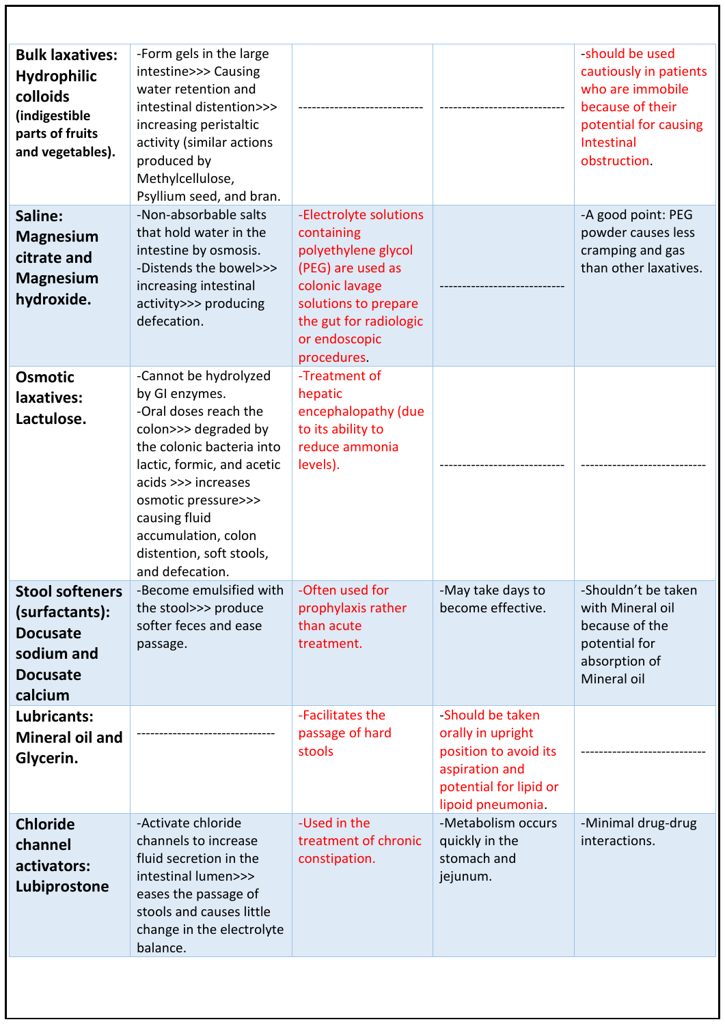| <b>Bulk laxatives:</b><br><b>Hydrophilic</b><br>colloids<br>(indigestible<br>parts of fruits<br>and vegetables). | -Form gels in the large<br>intestine>>> Causing<br>water retention and<br>intestinal distention>>><br>increasing peristaltic<br>activity (similar actions<br>produced by<br>Methylcellulose,<br>Psyllium seed, and bran.                                                                 |                                                                                                                                                                                      |                                                                                                                                 | -should be used<br>cautiously in patients<br>who are immobile<br>because of their<br>potential for causing<br>Intestinal<br>obstruction. |
|------------------------------------------------------------------------------------------------------------------|------------------------------------------------------------------------------------------------------------------------------------------------------------------------------------------------------------------------------------------------------------------------------------------|--------------------------------------------------------------------------------------------------------------------------------------------------------------------------------------|---------------------------------------------------------------------------------------------------------------------------------|------------------------------------------------------------------------------------------------------------------------------------------|
| Saline:<br><b>Magnesium</b><br>citrate and<br><b>Magnesium</b><br>hydroxide.                                     | -Non-absorbable salts<br>that hold water in the<br>intestine by osmosis.<br>-Distends the bowel>>><br>increasing intestinal<br>activity>>> producing<br>defecation.                                                                                                                      | -Electrolyte solutions<br>containing<br>polyethylene glycol<br>(PEG) are used as<br>colonic lavage<br>solutions to prepare<br>the gut for radiologic<br>or endoscopic<br>procedures. |                                                                                                                                 | -A good point: PEG<br>powder causes less<br>cramping and gas<br>than other laxatives.                                                    |
| <b>Osmotic</b><br>laxatives:<br>Lactulose.                                                                       | -Cannot be hydrolyzed<br>by GI enzymes.<br>-Oral doses reach the<br>colon>>> degraded by<br>the colonic bacteria into<br>lactic, formic, and acetic<br>acids >>> increases<br>osmotic pressure>>><br>causing fluid<br>accumulation, colon<br>distention, soft stools,<br>and defecation. | -Treatment of<br>hepatic<br>encephalopathy (due<br>to its ability to<br>reduce ammonia<br>levels).                                                                                   |                                                                                                                                 |                                                                                                                                          |
| <b>Stool softeners</b><br>(surfactants):<br><b>Docusate</b><br>sodium and<br><b>Docusate</b><br>calcium          | -Become emulsified with<br>the stool>>> produce<br>softer feces and ease<br>passage.                                                                                                                                                                                                     | -Often used for<br>prophylaxis rather<br>than acute<br>treatment.                                                                                                                    | -May take days to<br>become effective.                                                                                          | -Shouldn't be taken<br>with Mineral oil<br>because of the<br>potential for<br>absorption of<br>Mineral oil                               |
| Lubricants:<br><b>Mineral oil and</b><br>Glycerin.                                                               |                                                                                                                                                                                                                                                                                          | -Facilitates the<br>passage of hard<br>stools                                                                                                                                        | -Should be taken<br>orally in upright<br>position to avoid its<br>aspiration and<br>potential for lipid or<br>lipoid pneumonia. |                                                                                                                                          |
| <b>Chloride</b><br>channel<br>activators:<br>Lubiprostone                                                        | -Activate chloride<br>channels to increase<br>fluid secretion in the<br>intestinal lumen>>><br>eases the passage of<br>stools and causes little<br>change in the electrolyte<br>balance.                                                                                                 | -Used in the<br>treatment of chronic<br>constipation.                                                                                                                                | -Metabolism occurs<br>quickly in the<br>stomach and<br>jejunum.                                                                 | -Minimal drug-drug<br>interactions.                                                                                                      |
|                                                                                                                  |                                                                                                                                                                                                                                                                                          |                                                                                                                                                                                      |                                                                                                                                 |                                                                                                                                          |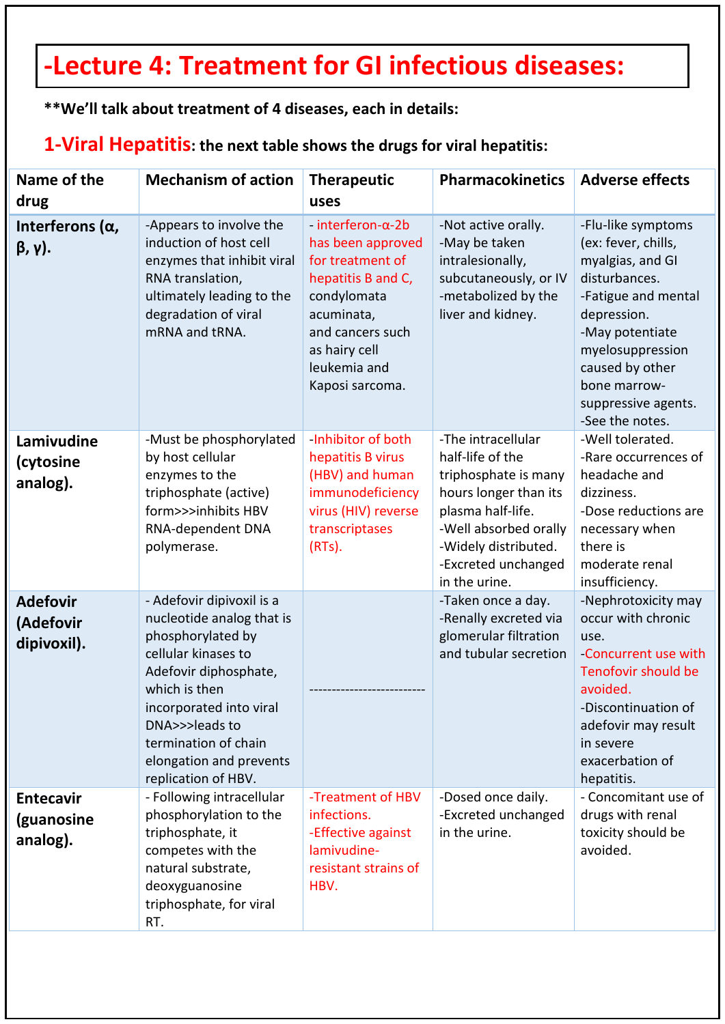# **-Lecture 4: Treatment for GI infectious diseases:**

**\*\*We'll talk about treatment of 4 diseases, each in details:**

#### **1-Viral Hepatitis: the next table shows the drugs for viral hepatitis:**

| Name of the<br>drug                             | <b>Mechanism of action</b>                                                                                                                                                                                                                                          | <b>Therapeutic</b><br>uses                                                                                                                                                                 | <b>Pharmacokinetics</b>                                                                                                                                                                               | <b>Adverse effects</b>                                                                                                                                                                                                                   |
|-------------------------------------------------|---------------------------------------------------------------------------------------------------------------------------------------------------------------------------------------------------------------------------------------------------------------------|--------------------------------------------------------------------------------------------------------------------------------------------------------------------------------------------|-------------------------------------------------------------------------------------------------------------------------------------------------------------------------------------------------------|------------------------------------------------------------------------------------------------------------------------------------------------------------------------------------------------------------------------------------------|
| Interferons $(\alpha,$<br>$\beta$ , $\gamma$ ). | -Appears to involve the<br>induction of host cell<br>enzymes that inhibit viral<br>RNA translation,<br>ultimately leading to the<br>degradation of viral<br>mRNA and tRNA.                                                                                          | $interferon-\alpha-2b$<br>has been approved<br>for treatment of<br>hepatitis B and C,<br>condylomata<br>acuminata,<br>and cancers such<br>as hairy cell<br>leukemia and<br>Kaposi sarcoma. | -Not active orally.<br>-May be taken<br>intralesionally,<br>subcutaneously, or IV<br>-metabolized by the<br>liver and kidney.                                                                         | -Flu-like symptoms<br>(ex: fever, chills,<br>myalgias, and GI<br>disturbances.<br>-Fatigue and mental<br>depression.<br>-May potentiate<br>myelosuppression<br>caused by other<br>bone marrow-<br>suppressive agents.<br>-See the notes. |
| Lamivudine<br>(cytosine<br>analog).             | -Must be phosphorylated<br>by host cellular<br>enzymes to the<br>triphosphate (active)<br>form>>>inhibits HBV<br>RNA-dependent DNA<br>polymerase.                                                                                                                   | Inhibitor of both<br>hepatitis B virus<br>(HBV) and human<br>immunodeficiency<br>virus (HIV) reverse<br>transcriptases<br>$(RTs)$ .                                                        | -The intracellular<br>half-life of the<br>triphosphate is many<br>hours longer than its<br>plasma half-life.<br>-Well absorbed orally<br>-Widely distributed.<br>-Excreted unchanged<br>in the urine. | -Well tolerated.<br>-Rare occurrences of<br>headache and<br>dizziness.<br>-Dose reductions are<br>necessary when<br>there is<br>moderate renal<br>insufficiency.                                                                         |
| <b>Adefovir</b><br>(Adefovir<br>dipivoxil).     | - Adefovir dipivoxil is a<br>nucleotide analog that is<br>phosphorylated by<br>cellular kinases to<br>Adefovir diphosphate,<br>which is then<br>incorporated into viral<br>DNA>>>leads to<br>termination of chain<br>elongation and prevents<br>replication of HBV. |                                                                                                                                                                                            | -Taken once a day.<br>-Renally excreted via<br>glomerular filtration<br>and tubular secretion                                                                                                         | -Nephrotoxicity may<br>occur with chronic<br>use.<br>-Concurrent use with<br>Tenofovir should be<br>avoided.<br>-Discontinuation of<br>adefovir may result<br>in severe<br>exacerbation of<br>hepatitis.                                 |
| <b>Entecavir</b><br>(guanosine<br>analog).      | - Following intracellular<br>phosphorylation to the<br>triphosphate, it<br>competes with the<br>natural substrate,<br>deoxyguanosine<br>triphosphate, for viral<br>RT.                                                                                              | -Treatment of HBV<br>infections.<br>-Effective against<br>lamivudine-<br>resistant strains of<br>HBV.                                                                                      | -Dosed once daily.<br>-Excreted unchanged<br>in the urine.                                                                                                                                            | - Concomitant use of<br>drugs with renal<br>toxicity should be<br>avoided.                                                                                                                                                               |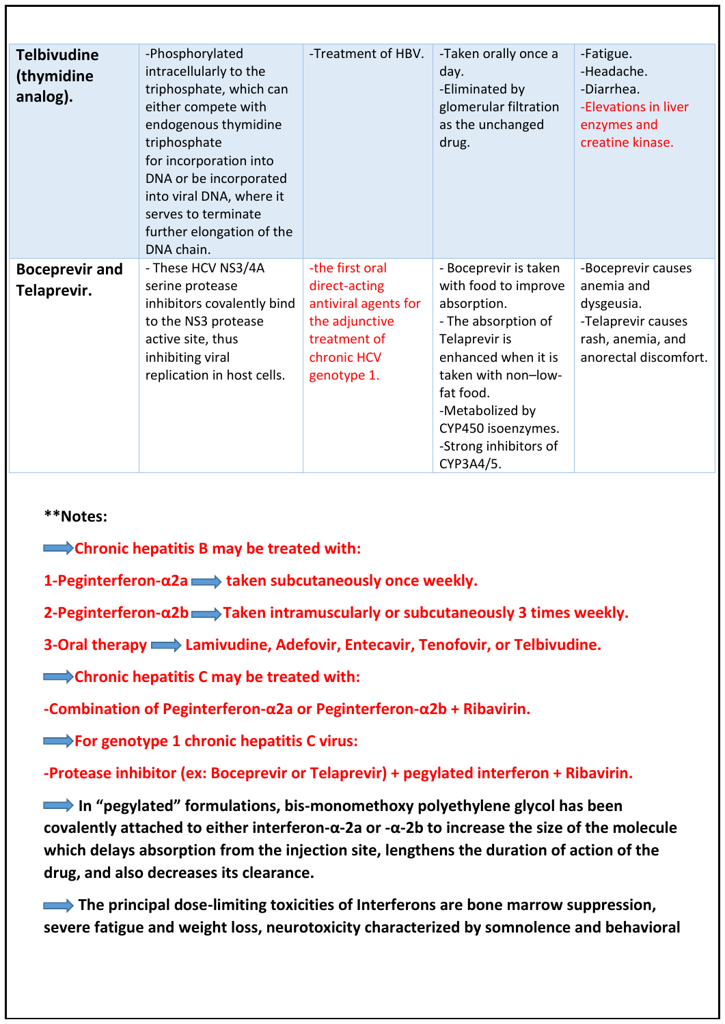| <b>Telbivudine</b><br>(thymidine<br>analog). | -Phosphorylated<br>intracellularly to the<br>triphosphate, which can<br>either compete with<br>endogenous thymidine<br>triphosphate<br>for incorporation into<br>DNA or be incorporated<br>into viral DNA, where it<br>serves to terminate<br>further elongation of the<br>DNA chain. | -Treatment of HBV.                                                                                                       | -Taken orally once a<br>day.<br>-Eliminated by<br>glomerular filtration<br>as the unchanged<br>drug.                                                                                                                                           | -Fatigue.<br>-Headache.<br>-Diarrhea.<br>-Elevations in liver<br>enzymes and<br>creatine kinase.                   |
|----------------------------------------------|---------------------------------------------------------------------------------------------------------------------------------------------------------------------------------------------------------------------------------------------------------------------------------------|--------------------------------------------------------------------------------------------------------------------------|------------------------------------------------------------------------------------------------------------------------------------------------------------------------------------------------------------------------------------------------|--------------------------------------------------------------------------------------------------------------------|
| <b>Boceprevir and</b><br>Telaprevir.         | - These HCV NS3/4A<br>serine protease<br>inhibitors covalently bind<br>to the NS3 protease<br>active site, thus<br>inhibiting viral<br>replication in host cells.                                                                                                                     | -the first oral<br>direct-acting<br>antiviral agents for<br>the adjunctive<br>treatment of<br>chronic HCV<br>genotype 1. | - Boceprevir is taken<br>with food to improve<br>absorption.<br>- The absorption of<br>Telaprevir is<br>enhanced when it is<br>taken with non-low-<br>fat food.<br>-Metabolized by<br>CYP450 isoenzymes.<br>-Strong inhibitors of<br>CYP3A4/5. | -Boceprevir causes<br>anemia and<br>dysgeusia.<br>-Telaprevir causes<br>rash, anemia, and<br>anorectal discomfort. |

#### **\*\*Notes:**

**EXADERED Chronic hepatitis B may be treated with:** 

**1-Peginterferon-α2a taken subcutaneously once weekly.**

**2-Peginterferon-α2b Taken intramuscularly or subcutaneously 3 times weekly.**

**3-Oral therapy Lamivudine, Adefovir, Entecavir, Tenofovir, or Telbivudine.**

**EXECUTE:** Chronic hepatitis C may be treated with:

**-Combination of Peginterferon-α2a or Peginterferon-α2b + Ribavirin.**

**EXECUTE:** For genotype 1 chronic hepatitis C virus:

**-Protease inhibitor (ex: Boceprevir or Telaprevir) + pegylated interferon + Ribavirin.**

 **In "pegylated" formulations, bis-monomethoxy polyethylene glycol has been covalently attached to either interferon-α-2a or -α-2b to increase the size of the molecule which delays absorption from the injection site, lengthens the duration of action of the drug, and also decreases its clearance.**

 **The principal dose-limiting toxicities of Interferons are bone marrow suppression, severe fatigue and weight loss, neurotoxicity characterized by somnolence and behavioral**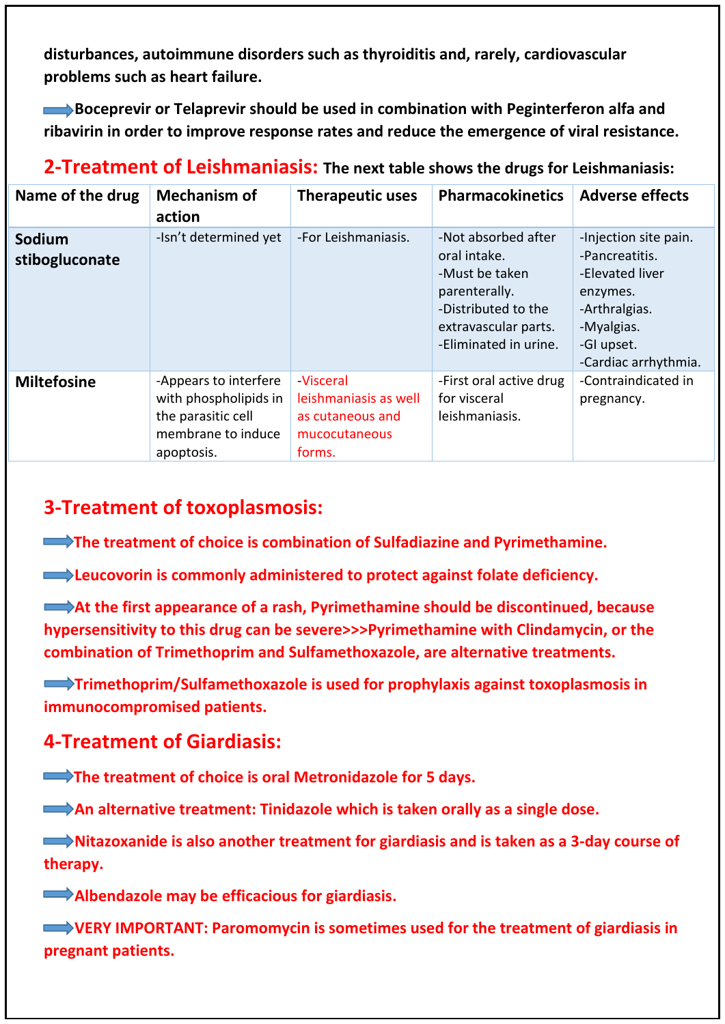**disturbances, autoimmune disorders such as thyroiditis and, rarely, cardiovascular problems such as heart failure.**

**Boceprevir or Telaprevir should be used in combination with Peginterferon alfa and ribavirin in order to improve response rates and reduce the emergence of viral resistance.**

### **2-Treatment of Leishmaniasis: The next table shows the drugs for Leishmaniasis:**

| Name of the drug         | <b>Mechanism of</b><br>action                                                                            | <b>Therapeutic uses</b>                                                                 | <b>Pharmacokinetics</b>                                                                                                                        | <b>Adverse effects</b>                                                                                                                      |
|--------------------------|----------------------------------------------------------------------------------------------------------|-----------------------------------------------------------------------------------------|------------------------------------------------------------------------------------------------------------------------------------------------|---------------------------------------------------------------------------------------------------------------------------------------------|
| Sodium<br>stibogluconate | -Isn't determined yet                                                                                    | -For Leishmaniasis.                                                                     | -Not absorbed after<br>oral intake.<br>-Must be taken<br>parenterally.<br>-Distributed to the<br>extravascular parts.<br>-Eliminated in urine. | -Injection site pain.<br>-Pancreatitis.<br>-Elevated liver<br>enzymes.<br>-Arthralgias.<br>-Myalgias.<br>-GI upset.<br>-Cardiac arrhythmia. |
| <b>Miltefosine</b>       | -Appears to interfere<br>with phospholipids in<br>the parasitic cell<br>membrane to induce<br>apoptosis. | <b>Visceral</b><br>leishmaniasis as well<br>as cutaneous and<br>mucocutaneous<br>forms. | -First oral active drug<br>for visceral<br>leishmaniasis.                                                                                      | -Contraindicated in<br>pregnancy.                                                                                                           |

### **3-Treatment of toxoplasmosis:**

**The treatment of choice is combination of Sulfadiazine and Pyrimethamine.** 

**EXECUTE:** Leucovorin is commonly administered to protect against folate deficiency.

**EXTERNATE:** At the first appearance of a rash, Pyrimethamine should be discontinued, because **hypersensitivity to this drug can be severe>>>Pyrimethamine with Clindamycin, or the combination of Trimethoprim and Sulfamethoxazole, are alternative treatments.**

**Trimethoprim/Sulfamethoxazole is used for prophylaxis against toxoplasmosis in immunocompromised patients.**

### **4-Treatment of Giardiasis:**

 **The treatment of choice is oral Metronidazole for 5 days.**

**An alternative treatment: Tinidazole which is taken orally as a single dose.** 

 **Nitazoxanide is also another treatment for giardiasis and is taken as a 3-day course of therapy.** 

 **Albendazole may be efficacious for giardiasis.**

 **VERY IMPORTANT: Paromomycin is sometimes used for the treatment of giardiasis in pregnant patients.**